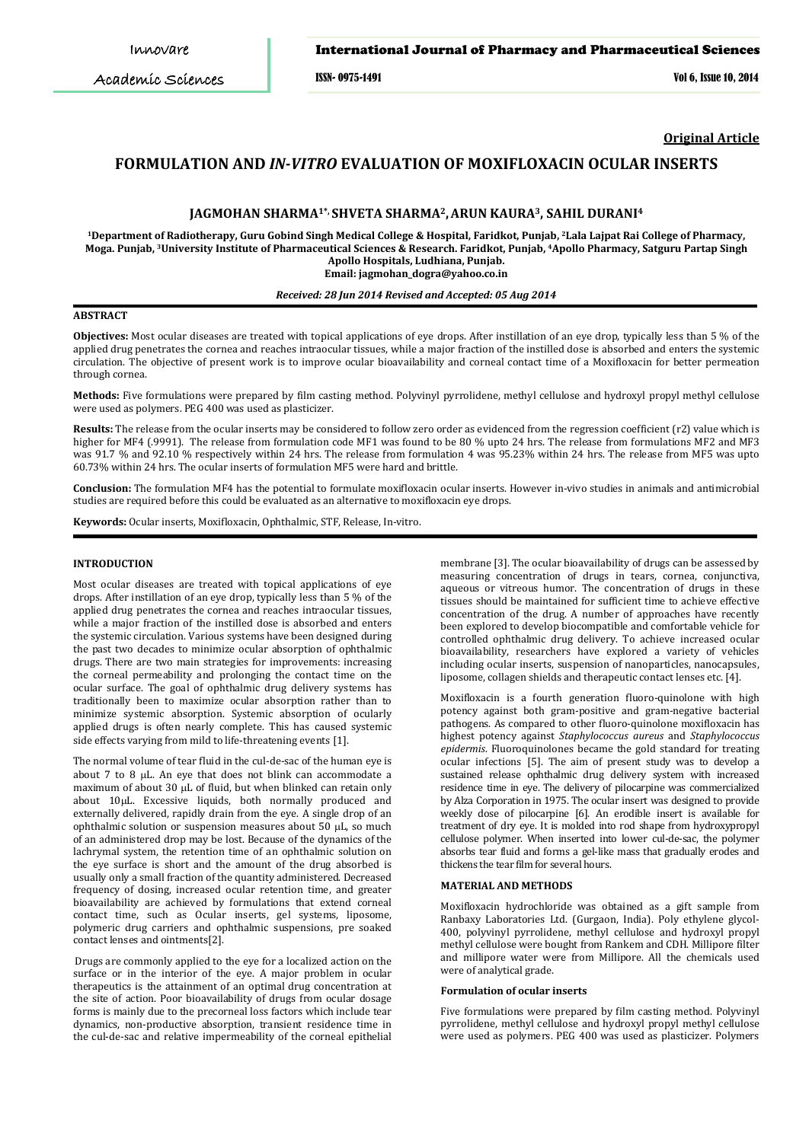Academic Sciences

ISSN- 0975-1491 Vol 6, Issue 10, 2014

**Original Article**

# **FORMULATION AND** *IN-VITRO* **EVALUATION OF MOXIFLOXACIN OCULAR INSERTS**

### **JAGMOHAN SHARMA1\*, SHVETA SHARMA2,ARUN KAURA3, SAHIL DURANI4**

**1Department of Radiotherapy, Guru Gobind Singh Medical College & Hospital, Faridkot, Punjab, 2Lala Lajpat Rai College of Pharmacy, Moga. Punjab, 3University Institute of Pharmaceutical Sciences & Research. Faridkot, Punjab, 4 Apollo Pharmacy, Satguru Partap Singh Apollo Hospitals, Ludhiana, Punjab. Email: jagmohan\_dogra@yahoo.co.in**

### *Received: 28 Jun 2014 Revised and Accepted: 05 Aug 2014*

# **ABSTRACT**

**Objectives:** Most ocular diseases are treated with topical applications of eye drops. After instillation of an eye drop, typically less than 5 % of the applied drug penetrates the cornea and reaches intraocular tissues, while a major fraction of the instilled dose is absorbed and enters the systemic circulation. The objective of present work is to improve ocular bioavailability and corneal contact time of a Moxifloxacin for better permeation through cornea.

**Methods:** Five formulations were prepared by film casting method. Polyvinyl pyrrolidene, methyl cellulose and hydroxyl propyl methyl cellulose were used as polymers. PEG 400 was used as plasticizer.

**Results:** The release from the ocular inserts may be considered to follow zero order as evidenced from the regression coefficient (r2) value which is higher for MF4 (.9991). The release from formulation code MF1 was found to be 80 % upto 24 hrs. The release from formulations MF2 and MF3 was 91.7 % and 92.10 % respectively within 24 hrs. The release from formulation 4 was 95.23% within 24 hrs. The release from MF5 was upto 60.73% within 24 hrs. The ocular inserts of formulation MF5 were hard and brittle.

**Conclusion:** The formulation MF4 has the potential to formulate moxifloxacin ocular inserts. However in-vivo studies in animals and antimicrobial studies are required before this could be evaluated as an alternative to moxifloxacin eye drops.

**Keywords:** Ocular inserts, Moxifloxacin, Ophthalmic, STF, Release, In-vitro.

### **INTRODUCTION**

Most ocular diseases are treated with topical applications of eye drops. After instillation of an eye drop, typically less than 5 % of the applied drug penetrates the cornea and reaches intraocular tissues, while a major fraction of the instilled dose is absorbed and enters the systemic circulation. Various systems have been designed during the past two decades to minimize ocular absorption of ophthalmic drugs. There are two main strategies for improvements: increasing the corneal permeability and prolonging the contact time on the ocular surface. The goal of ophthalmic drug delivery systems has traditionally been to maximize ocular absorption rather than to minimize systemic absorption. Systemic absorption of ocularly applied drugs is often nearly complete. This has caused systemic side effects varying from mild to life-threatening events [1].

The normal volume of tear fluid in the cul-de-sac of the human eye is about 7 to 8 µL. An eye that does not blink can accommodate a maximum of about 30 µL of fluid, but when blinked can retain only about 10µL. Excessive liquids, both normally produced and externally delivered, rapidly drain from the eye. A single drop of an ophthalmic solution or suspension measures about 50 µL, so much of an administered drop may be lost. Because of the dynamics of the lachrymal system, the retention time of an ophthalmic solution on the eye surface is short and the amount of the drug absorbed is usually only a small fraction of the quantity administered. Decreased frequency of dosing, increased ocular retention time, and greater bioavailability are achieved by formulations that extend corneal contact time, such as Ocular inserts, gel systems, liposome, polymeric drug carriers and ophthalmic suspensions, pre soaked contact lenses and ointments[2].

Drugs are commonly applied to the eye for a localized action on the surface or in the interior of the eye. A major problem in ocular therapeutics is the attainment of an optimal drug concentration at the site of action. Poor bioavailability of drugs from ocular dosage forms is mainly due to the precorneal loss factors which include tear dynamics, non-productive absorption, transient residence time in the cul-de-sac and relative impermeability of the corneal epithelial

membrane [3]. The ocular bioavailability of drugs can be assessed by measuring concentration of drugs in tears, cornea, conjunctiva, aqueous or vitreous humor. The concentration of drugs in these tissues should be maintained for sufficient time to achieve effective concentration of the drug. A number of approaches have recently been explored to develop biocompatible and comfortable vehicle for controlled ophthalmic drug delivery. To achieve increased ocular bioavailability, researchers have explored a variety of vehicles including ocular inserts, suspension of nanoparticles, nanocapsules, liposome, collagen shields and therapeutic contact lenses etc. [4].

Moxifloxacin is a fourth generation fluoro-quinolone with high potency against both gram-positive and gram-negative bacterial pathogens. As compared to other fluoro-quinolone moxifloxacin has highest potency against *Staphylococcus aureus* and *Staphylococcus epidermis*. Fluoroquinolones became the gold standard for treating ocular infections [5]. The aim of present study was to develop a sustained release ophthalmic drug delivery system with increased residence time in eye. The delivery of pilocarpine was commercialized by Alza Corporation in 1975. The ocular insert was designed to provide weekly dose of pilocarpine [6]. An erodible insert is available for treatment of dry eye. It is molded into rod shape from hydroxypropyl cellulose polymer. When inserted into lower cul-de-sac, the polymer absorbs tear fluid and forms a gel-like mass that gradually erodes and thickens the tear film for several hours.

#### **MATERIAL AND METHODS**

Moxifloxacin hydrochloride was obtained as a gift sample from Ranbaxy Laboratories Ltd. (Gurgaon, India). Poly ethylene glycol-400, polyvinyl pyrrolidene, methyl cellulose and hydroxyl propyl methyl cellulose were bought from Rankem and CDH. Millipore filter and millipore water were from Millipore. All the chemicals used were of analytical grade.

#### **Formulation of ocular inserts**

Five formulations were prepared by film casting method. Polyvinyl pyrrolidene, methyl cellulose and hydroxyl propyl methyl cellulose were used as polymers. PEG 400 was used as plasticizer. Polymers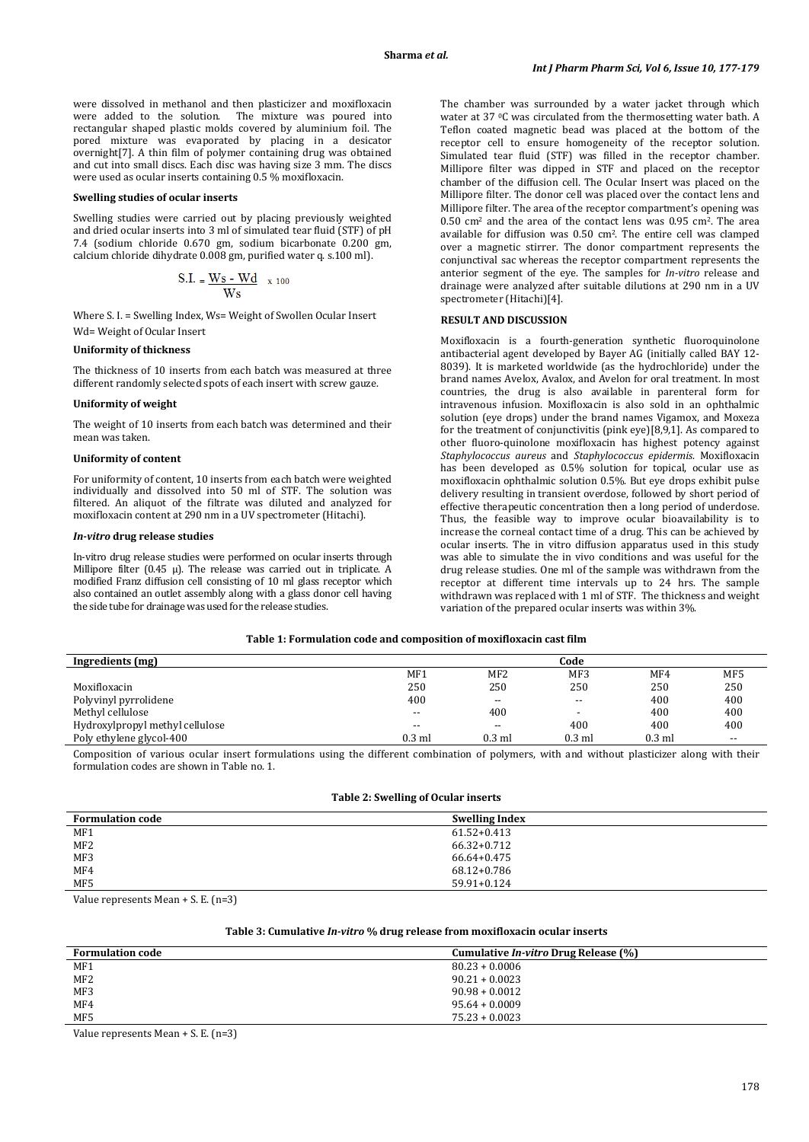were dissolved in methanol and then plasticizer and moxifloxacin were added to the solution. The mixture was poured into rectangular shaped plastic molds covered by aluminium foil. The pored mixture was evaporated by placing in a desicator overnight[7]. A thin film of polymer containing drug was obtained and cut into small discs. Each disc was having size 3 mm. The discs were used as ocular inserts containing 0.5 % moxifloxacin.

# **Swelling studies of ocular inserts**

Swelling studies were carried out by placing previously weighted and dried ocular inserts into 3 ml of simulated tear fluid (STF) of pH 7.4 (sodium chloride 0.670 gm, sodium bicarbonate 0.200 gm, calcium chloride dihydrate 0.008 gm, purified water q. s.100 ml).

$$
S.I. = \frac{Ws - Wd}{Ws} \quad x \neq 100
$$

Where S. I. = Swelling Index, Ws= Weight of Swollen Ocular Insert Wd= Weight of Ocular Insert

# **Uniformity of thickness**

The thickness of 10 inserts from each batch was measured at three different randomly selected spots of each insert with screw gauze.

# **Uniformity of weight**

The weight of 10 inserts from each batch was determined and their mean was taken.

#### **Uniformity of content**

For uniformity of content, 10 inserts from each batch were weighted individually and dissolved into 50 ml of STF. The solution was filtered. An aliquot of the filtrate was diluted and analyzed for moxifloxacin content at 290 nm in a UV spectrometer (Hitachi).

#### *In-vitro* **drug release studies**

In-vitro drug release studies were performed on ocular inserts through Millipore filter (0.45  $\mu$ ). The release was carried out in triplicate. A modified Franz diffusion cell consisting of 10 ml glass receptor which also contained an outlet assembly along with a glass donor cell having the side tube for drainage was used for the release studies.

The chamber was surrounded by a water jacket through which water at 37 0C was circulated from the thermosetting water bath. A Teflon coated magnetic bead was placed at the bottom of the receptor cell to ensure homogeneity of the receptor solution. Simulated tear fluid (STF) was filled in the receptor chamber. Millipore filter was dipped in STF and placed on the receptor chamber of the diffusion cell. The Ocular Insert was placed on the Millipore filter. The donor cell was placed over the contact lens and Millipore filter. The area of the receptor compartment's opening was  $0.50$  cm<sup>2</sup> and the area of the contact lens was  $0.95$  cm<sup>2</sup>. The area available for diffusion was 0.50 cm2 . The entire cell was clamped over a magnetic stirrer. The donor compartment represents the conjunctival sac whereas the receptor compartment represents the anterior segment of the eye. The samples for *In-vitro* release and drainage were analyzed after suitable dilutions at 290 nm in a UV spectrometer (Hitachi)[4].

### **RESULT AND DISCUSSION**

Moxifloxacin is a fourth-generation synthetic [fluoroquinolone](http://en.wikipedia.org/wiki/Fluoroquinolone) [antibacterial agent](http://en.wikipedia.org/wiki/Antibacterial_agent) developed by Bayer AG (initially called BAY 12- 8039). It is marketed worldwide (as the hydrochloride) under the brand names Avelox, Avalox, and Avelon for oral treatment. In most countries, the drug is also available in parenteral form for intravenous infusion. Moxifloxacin is also sold in an ophthalmic solution (eye drops) under the brand names Vigamox, and Moxeza for the treatment of conjunctivitis (pink eye)[8,9,1]. As compared to other fluoro-quinolone moxifloxacin has highest potency against *Staphylococcus aureus* and *Staphylococcus epidermis*. Moxifloxacin has been developed as 0.5% solution for topical, ocular use as moxifloxacin ophthalmic solution 0.5%. But eye drops exhibit pulse delivery resulting in transient overdose, followed by short period of effective therapeutic concentration then a long period of underdose. Thus, the feasible way to improve ocular bioavailability is to increase the corneal contact time of a drug. This can be achieved by ocular inserts. The in vitro diffusion apparatus used in this study was able to simulate the in vivo conditions and was useful for the drug release studies. One ml of the sample was withdrawn from the receptor at different time intervals up to 24 hrs. The sample withdrawn was replaced with 1 ml of STF. The thickness and weight variation of the prepared ocular inserts was within 3%.

## **Table 1: Formulation code and composition of moxifloxacin cast film**

| Ingredients (mg)                |          |                          | Code     |          |                          |
|---------------------------------|----------|--------------------------|----------|----------|--------------------------|
|                                 | MF1      | MF <sub>2</sub>          | MF3      | MF4      | MF5                      |
| Moxifloxacin                    | 250      | 250                      | 250      | 250      | 250                      |
| Polyvinyl pyrrolidene           | 400      | $\overline{\phantom{a}}$ | $- -$    | 400      | 400                      |
| Methyl cellulose                | $-$      | 400                      |          | 400      | 400                      |
| Hydroxylpropyl methyl cellulose | $- -$    | $- -$                    | 400      | 400      | 400                      |
| Poly ethylene glycol-400        | $0.3$ ml | $0.3$ ml                 | $0.3$ ml | $0.3$ ml | $\overline{\phantom{a}}$ |

Composition of various ocular insert formulations using the different combination of polymers, with and without plasticizer along with their formulation codes are shown in Table no. 1.

| Table 2: Swelling of Ocular inserts |  |
|-------------------------------------|--|
|-------------------------------------|--|

| <b>Formulation code</b> | <b>Swelling Index</b> |
|-------------------------|-----------------------|
| MF1                     | $61.52 + 0.413$       |
| MF <sub>2</sub>         | 66.32+0.712           |
| MF3                     | 66.64+0.475           |
| MF4                     | 68.12+0.786           |
| MF5                     | 59.91+0.124           |

Value represents Mean + S. E. (n=3)

### **Table 3: Cumulative** *In-vitro* **% drug release from moxifloxacin ocular inserts**

| <b>Formulation code</b> | Cumulative <i>In-vitro</i> Drug Release (%) |
|-------------------------|---------------------------------------------|
| MF1                     | $80.23 + 0.0006$                            |
| MF2                     | $90.21 + 0.0023$                            |
| MF3                     | $90.98 + 0.0012$                            |
| MF4                     | $95.64 + 0.0009$                            |
| MF5                     | $75.23 + 0.0023$                            |
|                         |                                             |

Value represents Mean + S. E. (n=3)